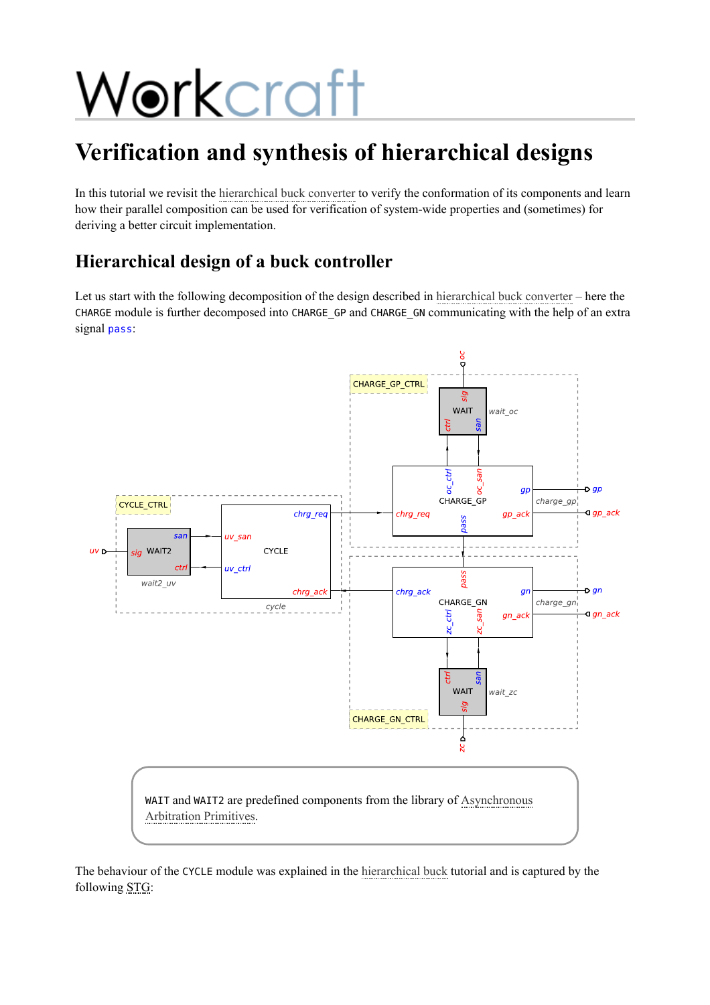# Workcraft

## **Verification and synthesis of hierarchical designs**

In this tutorial we revisit the [hierarchical buck converter](https://workcraft.org/tutorial/synthesis/decomposition/start) to verify the conformation of its components and learn how their parallel composition can be used for verification of system-wide properties and (sometimes) for deriving a better circuit implementation.

## **Hierarchical design of a buck controller**

Let us start with the following decomposition of the design described in [hierarchical buck converter](https://workcraft.org/tutorial/synthesis/decomposition/start) – here the CHARGE module is further decomposed into CHARGE\_GP and CHARGE\_GN communicating with the help of an extra signal pass:



The behaviour of the CYCLE module was explained in the [hierarchical buck](https://workcraft.org/tutorial/synthesis/decomposition/start) tutorial and is captured by the following STG: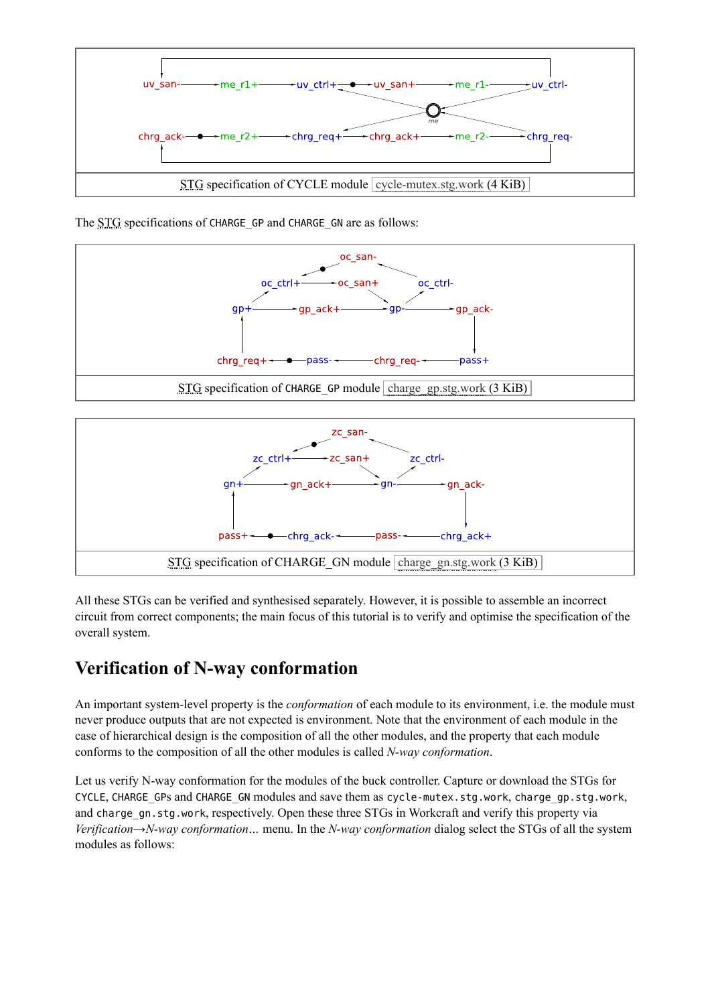

The STG specifications of CHARGE GP and CHARGE GN are as follows:





All these STGs can be verified and synthesised separately. However, it is possible to assemble an incorrect circuit from correct components; the main focus of this tutorial is to verify and optimise the specification of the overall system.

#### **Verification of N-way conformation**

An important system-level property is the *conformation* of each module to its environment, i.e. the module must never produce outputs that are not expected is environment. Note that the environment of each module in the case of hierarchical design is the composition of all the other modules, and the property that each module conforms to the composition of all the other modules is called *N-way conformation*.

Let us verify N-way conformation for the modules of the buck controller. Capture or download the STGs for CYCLE, CHARGE\_GPs and CHARGE\_GN modules and save them as cycle-mutex.stg.work, charge\_gp.stg.work, and charge\_gn.stg.work, respectively. Open these three STGs in Workcraft and verify this property via *Verification→N-way conformation…* menu. In the *N-way conformation* dialog select the STGs of all the system modules as follows: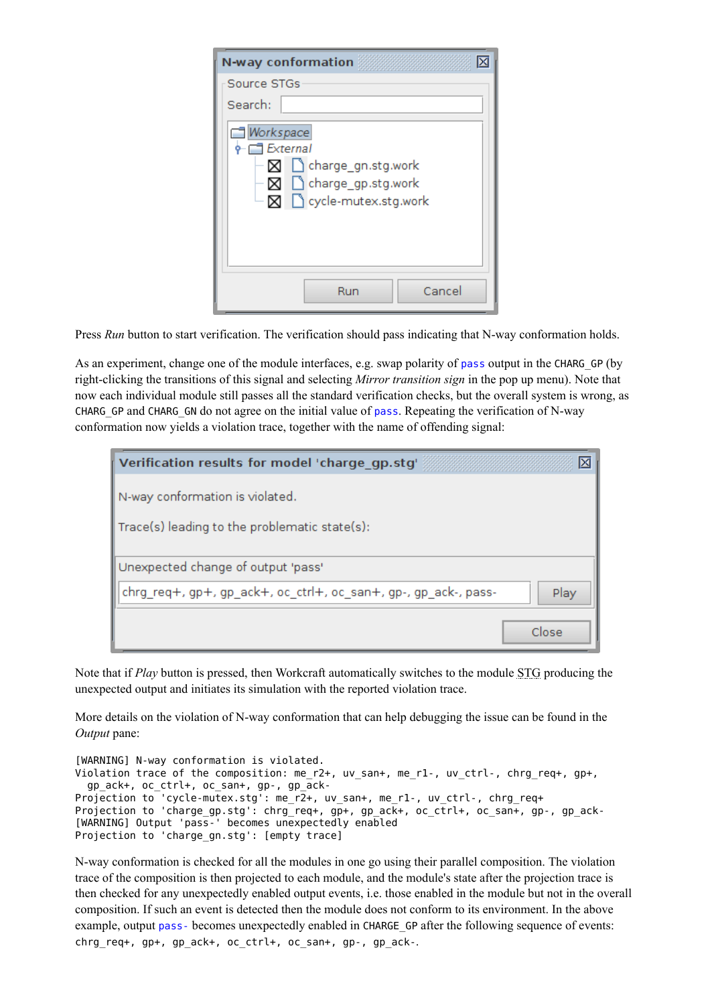| N-way conformation                                                                              |
|-------------------------------------------------------------------------------------------------|
| Source STGs                                                                                     |
| Search:                                                                                         |
| Workspace<br>External<br>⊠ charge_gn.stg.work<br>⊠ charge_gp.stg.work<br>⊠ cycle-mutex.stg.work |
| Cancel<br>Run                                                                                   |

Press *Run* button to start verification. The verification should pass indicating that N-way conformation holds.

As an experiment, change one of the module interfaces, e.g. swap polarity of pass output in the CHARG\_GP (by right-clicking the transitions of this signal and selecting *Mirror transition sign* in the pop up menu). Note that now each individual module still passes all the standard verification checks, but the overall system is wrong, as CHARG GP and CHARG GN do not agree on the initial value of pass. Repeating the verification of N-way conformation now yields a violation trace, together with the name of offending signal:

| Verification results for model 'charge gp.stg'<br>⊠                     |
|-------------------------------------------------------------------------|
| $\mid$ N-way conformation is violated.                                  |
| Trace(s) leading to the problematic state(s):                           |
| Unexpected change of output 'pass'                                      |
| chrg_req+, gp+, gp_ack+, oc_ctrl+, oc_san+, gp-, gp_ack-, pass-<br>Play |
| Close                                                                   |

Note that if *Play* button is pressed, then Workcraft automatically switches to the module STG producing the unexpected output and initiates its simulation with the reported violation trace.

More details on the violation of N-way conformation that can help debugging the issue can be found in the *Output* pane:

```
[WARNING] N-way conformation is violated.
Violation trace of the composition: me r2+, uv san+, me r1-, uv ctrl-, chrg req+, gp+,
 gp_ack+, oc_ctrl+, oc_san+, gp-, gp_ack-
Projection to 'cycle-mutex.stg': me_r2+, uv_san+, me_r1-, uv_ctrl-, chrg_req+
Projection to 'charge_gp.stg': chrg_req+, gp+, gp_ack+, oc_ctrl+, oc_san+, gp-, gp_ack-
[WARNING] Output 'pass-' becomes unexpectedly enabled
Projection to 'charge_gn.stg': [empty trace]
```
N-way conformation is checked for all the modules in one go using their parallel composition. The violation trace of the composition is then projected to each module, and the module's state after the projection trace is then checked for any unexpectedly enabled output events, i.e. those enabled in the module but not in the overall composition. If such an event is detected then the module does not conform to its environment. In the above example, output pass- becomes unexpectedly enabled in CHARGE GP after the following sequence of events: chrg req+,  $gp+$ , gp ack+, oc ctrl+, oc san+, gp-, gp ack-.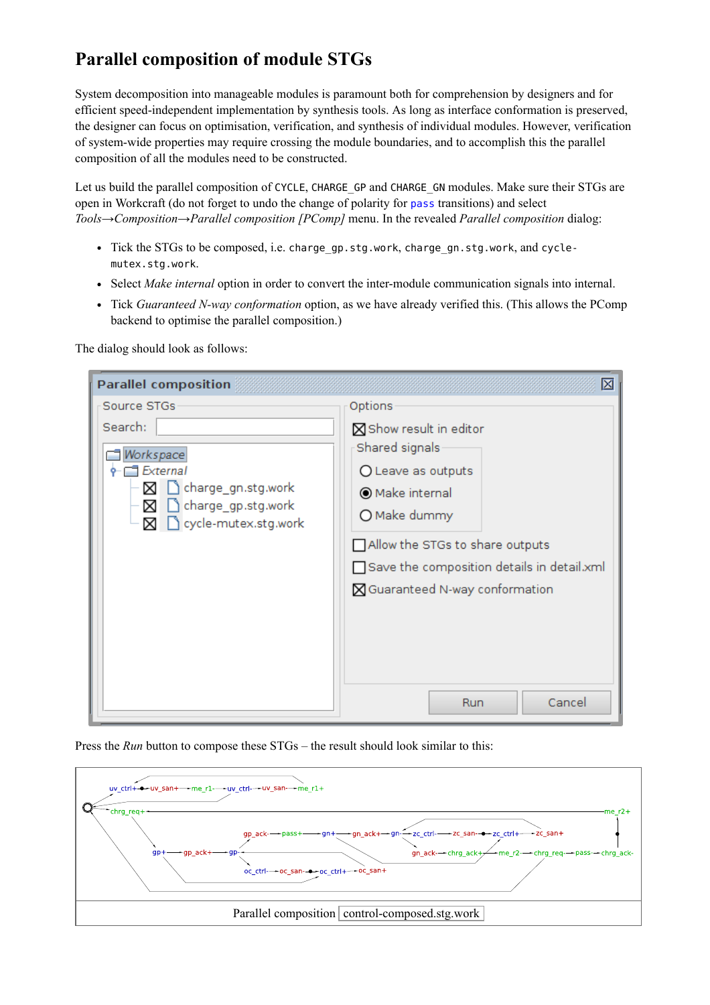### **Parallel composition of module STGs**

System decomposition into manageable modules is paramount both for comprehension by designers and for efficient speed-independent implementation by synthesis tools. As long as interface conformation is preserved, the designer can focus on optimisation, verification, and synthesis of individual modules. However, verification of system-wide properties may require crossing the module boundaries, and to accomplish this the parallel composition of all the modules need to be constructed.

Let us build the parallel composition of CYCLE, CHARGE GP and CHARGE GN modules. Make sure their STGs are open in Workcraft (do not forget to undo the change of polarity for pass transitions) and select *Tools→Composition→Parallel composition [PComp]* menu. In the revealed *Parallel composition* dialog:

- Tick the STGs to be composed, i.e. charge\_gp.stg.work, charge\_gn.stg.work, and cyclemutex.stg.work.
- Select *Make internal* option in order to convert the inter-module communication signals into internal.
- Tick *Guaranteed N-way conformation* option, as we have already verified this. (This allows the PComp backend to optimise the parallel composition.)

The dialog should look as follows:

| <b>Parallel composition</b>                                                                                                          | 図                                                                                                                                                                                                                                                |
|--------------------------------------------------------------------------------------------------------------------------------------|--------------------------------------------------------------------------------------------------------------------------------------------------------------------------------------------------------------------------------------------------|
| Source STGs<br>Search:<br>Workspace<br>External<br>∆charge_gn.stg.work<br>⋈<br>∆charge_gp.stg.work<br>⊠<br>cycle-mutex.stg.work<br>⊠ | Options<br>Show result in editor<br>Shared signals<br>O Leave as outputs<br>O Make internal<br>O Make dummy<br>Allow the STGs to share outputs<br>Save the composition details in detail.xml<br>■ Guaranteed N-way conformation<br>Cancel<br>Run |

Press the *Run* button to compose these STGs – the result should look similar to this:

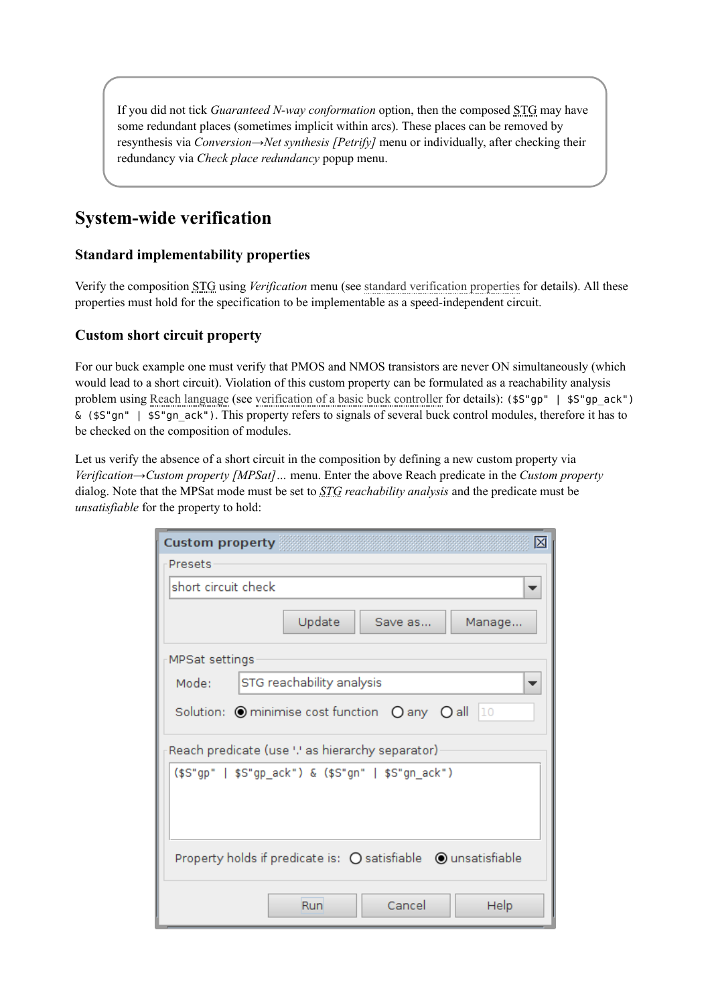If you did not tick *Guaranteed N-way conformation* option, then the composed STG may have some redundant places (sometimes implicit within arcs). These places can be removed by resynthesis via *Conversion→Net synthesis [Petrify]* menu or individually, after checking their redundancy via *Check place redundancy* popup menu.

#### **System-wide verification**

#### **Standard implementability properties**

Verify the composition STG using *Verification* menu (see [standard verification properties](https://workcraft.org/help/verification) for details). All these properties must hold for the specification to be implementable as a speed-independent circuit.

#### **Custom short circuit property**

For our buck example one must verify that PMOS and NMOS transistors are never ON simultaneously (which would lead to a short circuit). Violation of this custom property can be formulated as a reachability analysis problem using [Reach language](https://workcraft.org/help/reach) (see [verification of a basic buck controller](https://workcraft.org/tutorial/synthesis/buck/start#formal_verification) for details): (\$S"gp" | \$S"gp\_ack")  $\&$  (\$5"gn" | \$5"gn ack"). This property refers to signals of several buck control modules, therefore it has to be checked on the composition of modules.

Let us verify the absence of a short circuit in the composition by defining a new custom property via *Verification→Custom property [MPSat]…* menu. Enter the above Reach predicate in the *Custom property* dialog. Note that the MPSat mode must be set to *STG reachability analysis* and the predicate must be *unsatisfiable* for the property to hold:

| ⊠<br><b>Custom property</b>                                                          |  |  |  |
|--------------------------------------------------------------------------------------|--|--|--|
| <b>Presets</b>                                                                       |  |  |  |
| short circuit check                                                                  |  |  |  |
| Update<br>Save as<br>Manage                                                          |  |  |  |
| MPSat settings                                                                       |  |  |  |
| STG reachability analysis<br>Mode:                                                   |  |  |  |
| Solution: $\bigcirc$ minimise cost function $\bigcirc$ any $\bigcirc$ all $\bigcirc$ |  |  |  |
| Reach predicate (use '.' as hierarchy separator)                                     |  |  |  |
| (\$S"gp"   \$S"gp_ack") & (\$S"gn"   \$S"gn_ack")                                    |  |  |  |
| Property holds if predicate is: ○ satisfiable ● unsatisfiable                        |  |  |  |
| Run<br>Cancel<br>Help                                                                |  |  |  |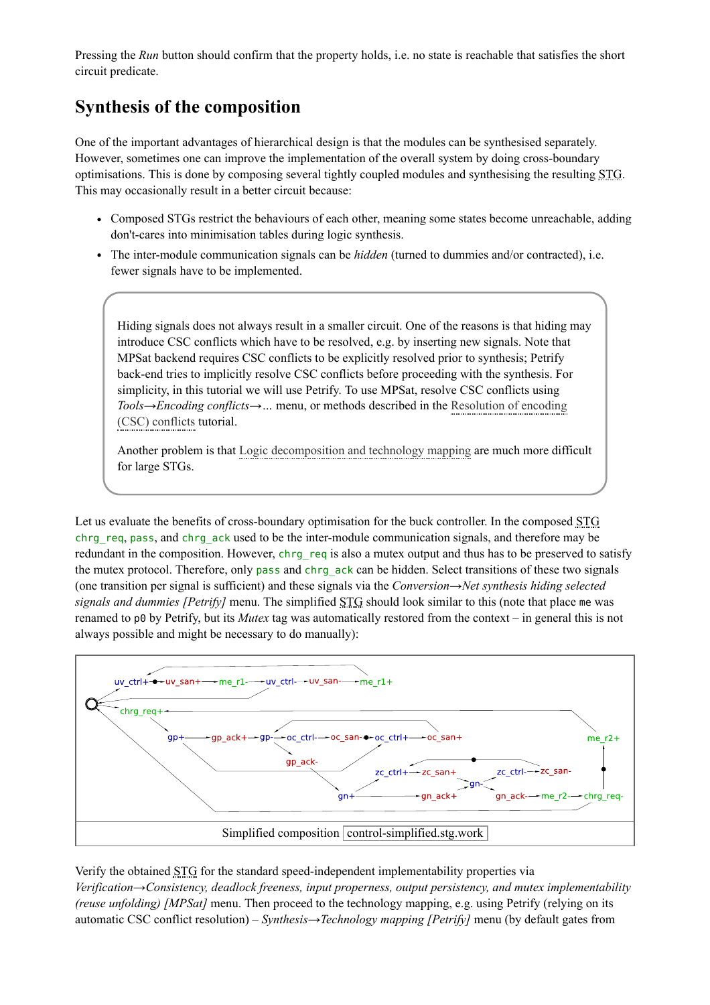Pressing the *Run* button should confirm that the property holds, i.e. no state is reachable that satisfies the short circuit predicate.

#### **Synthesis of the composition**

One of the important advantages of hierarchical design is that the modules can be synthesised separately. However, sometimes one can improve the implementation of the overall system by doing cross-boundary optimisations. This is done by composing several tightly coupled modules and synthesising the resulting STG. This may occasionally result in a better circuit because:

- Composed STGs restrict the behaviours of each other, meaning some states become unreachable, adding don't-cares into minimisation tables during logic synthesis.
- The inter-module communication signals can be *hidden* (turned to dummies and/or contracted), i.e. fewer signals have to be implemented.

Hiding signals does not always result in a smaller circuit. One of the reasons is that hiding may introduce CSC conflicts which have to be resolved, e.g. by inserting new signals. Note that MPSat backend requires CSC conflicts to be explicitly resolved prior to synthesis; Petrify back-end tries to implicitly resolve CSC conflicts before proceeding with the synthesis. For simplicity, in this tutorial we will use Petrify. To use MPSat, resolve CSC conflicts using *Tools→Encoding conflicts→…* [menu, or methods described in the Resolution of encoding](https://workcraft.org/tutorial/synthesis/csc-resolution/start) (CSC) conflicts tutorial.

Another problem is that [Logic decomposition and technology mapping](https://workcraft.org/tutorial/synthesis/technology_mapping/start) are much more difficult for large STGs.

Let us evaluate the benefits of cross-boundary optimisation for the buck controller. In the composed STG chrg\_req, pass, and chrg\_ack used to be the inter-module communication signals, and therefore may be redundant in the composition. However, chrg\_req is also a mutex output and thus has to be preserved to satisfy the mutex protocol. Therefore, only pass and chrg ack can be hidden. Select transitions of these two signals (one transition per signal is sufficient) and these signals via the *Conversion→Net synthesis hiding selected signals and dummies [Petrify]* menu. The simplified STG should look similar to this (note that place me was renamed to p0 by Petrify, but its *Mutex* tag was automatically restored from the context – in general this is not always possible and might be necessary to do manually):



Verify the obtained STG for the standard speed-independent implementability properties via *Verification→Consistency, deadlock freeness, input properness, output persistency, and mutex implementability (reuse unfolding) [MPSat]* menu. Then proceed to the technology mapping, e.g. using Petrify (relying on its automatic CSC conflict resolution) – *Synthesis→Technology mapping [Petrify]* menu (by default gates from